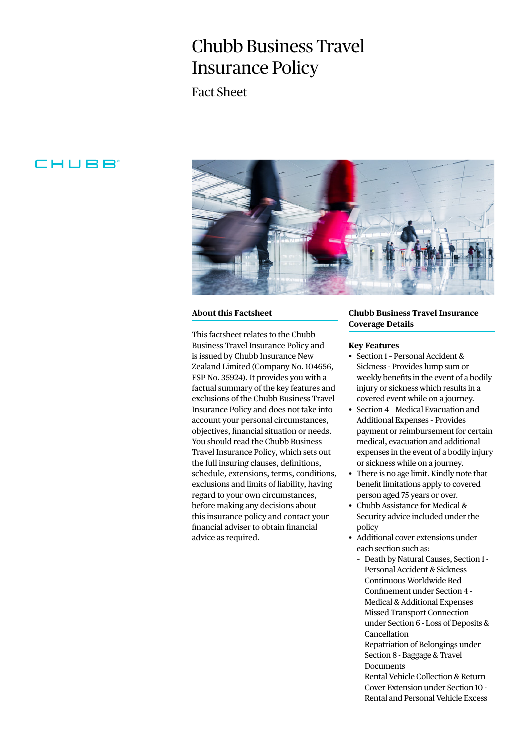# Chubb Business Travel Insurance Policy

Fact Sheet

# **CHUBB**



#### **About this Factsheet**

This factsheet relates to the Chubb Business Travel Insurance Policy and is issued by Chubb Insurance New Zealand Limited (Company No. 104656, FSP No. 35924). It provides you with a factual summary of the key features and exclusions of the Chubb Business Travel Insurance Policy and does not take into account your personal circumstances, objectives, financial situation or needs. You should read the Chubb Business Travel Insurance Policy, which sets out the full insuring clauses, definitions, schedule, extensions, terms, conditions, exclusions and limits of liability, having regard to your own circumstances, before making any decisions about this insurance policy and contact your financial adviser to obtain financial advice as required.

## **Chubb Business Travel Insurance Coverage Details**

#### **Key Features**

- Section 1 Personal Accident & Sickness - Provides lump sum or weekly benefits in the event of a bodily injury or sickness which results in a covered event while on a journey.
- Section 4 Medical Evacuation and Additional Expenses – Provides payment or reimbursement for certain medical, evacuation and additional expenses in the event of a bodily injury or sickness while on a journey.
- There is no age limit. Kindly note that benefit limitations apply to covered person aged 75 years or over.
- Chubb Assistance for Medical & Security advice included under the policy
- Additional cover extensions under each section such as:
	- Death by Natural Causes, Section 1 Personal Accident & Sickness
	- Continuous Worldwide Bed Confinement under Section 4 - Medical & Additional Expenses
	- Missed Transport Connection under Section 6 - Loss of Deposits & Cancellation
	- Repatriation of Belongings under Section 8 - Baggage & Travel Documents
	- Rental Vehicle Collection & Return Cover Extension under Section 10 - Rental and Personal Vehicle Excess